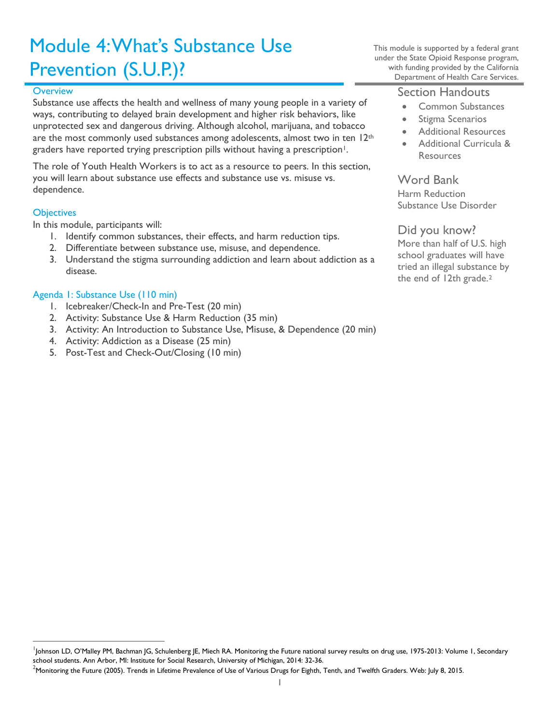# Module 4: What's Substance Use Prevention (S.U.P.)?

#### **Overview**

Substance use affects the health and wellness of many young people in a variety of ways, contributing to delayed brain development and higher risk behaviors, like unprotected sex and dangerous driving. Although alcohol, marijuana, and tobacco are the most commonly used substances among adolescents, almost two in ten  $12<sup>th</sup>$ graders have reported trying prescription pills without having a prescription<sup>1</sup>.

The role of Youth Health Workers is to act as a resource to peers. In this section, you will learn about substance use effects and substance use vs. misuse vs. dependence.

#### **Objectives**

In this module, participants will:

- 1. Identify common substances, their effects, and harm reduction tips.
- 2. Differentiate between substance use, misuse, and dependence.
- 3. Understand the stigma surrounding addiction and learn about addiction as a disease.

#### Agenda 1: Substance Use (110 min)

- 1. Icebreaker/Check-In and Pre-Test (20 min)
- 2. Activity: Substance Use & Harm Reduction (35 min)
- 3. Activity: An Introduction to Substance Use, Misuse, & Dependence (20 min)
- 4. Activity: Addiction as a Disease (25 min)
- 5. Post-Test and Check-Out/Closing (10 min)

This module is supported by a federal grant under the State Opioid Response program, with funding provided by the California Department of Health Care Services.

### Section Handouts

- Common Substances
- Stigma Scenarios
- Additional Resources
- Additional Curricula & **Resources**

Word Bank Harm Reduction Substance Use Disorder

### Did you know?

More than half of U.S. high school graduates will have tried an illegal substance by the end of 1[2](#page-0-1)th grade.<sup>2</sup>

<span id="page-0-0"></span><sup>|&</sup>lt;br>|<br>| Johnson LD, O'Malley PM, Bachman JG, Schulenberg JE, Miech RA. Monitoring the Future national survey results on drug use, 1975-2013: Volume 1, Secondary school students. Ann Arbor, MI: Institute for Social Research, University of Michigan, 2014: 32-36.

<span id="page-0-1"></span><sup>&</sup>lt;sup>2</sup>Monitoring the Future (2005). Trends in Lifetime Prevalence of Use of Various Drugs for Eighth, Tenth, and Twelfth Graders. Web: July 8, 2015.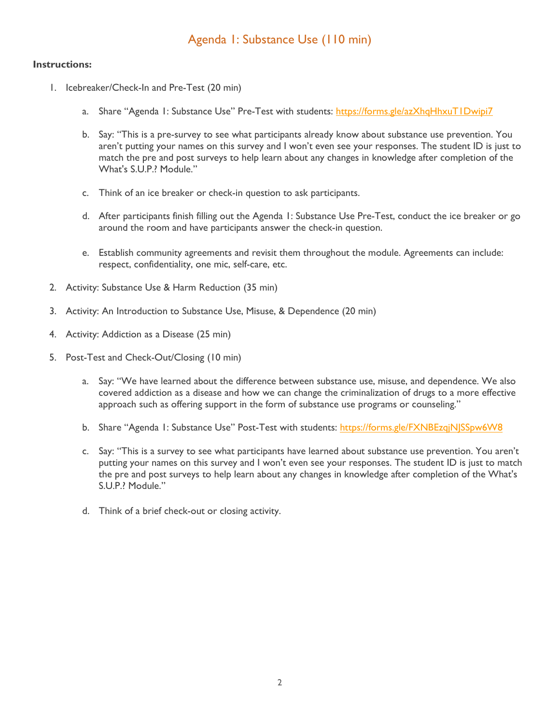# Agenda 1: Substance Use (110 min)

- 1. Icebreaker/Check-In and Pre-Test (20 min)
	- a. Share "Agenda 1: Substance Use" Pre-Test with students:<https://forms.gle/azXhqHhxuT1Dwipi7>
	- b. Say: "This is a pre-survey to see what participants already know about substance use prevention. You aren't putting your names on this survey and I won't even see your responses. The student ID is just to match the pre and post surveys to help learn about any changes in knowledge after completion of the What's S.U.P.? Module."
	- c. Think of an ice breaker or check-in question to ask participants.
	- d. After participants finish filling out the Agenda 1: Substance Use Pre-Test, conduct the ice breaker or go around the room and have participants answer the check-in question.
	- e. Establish community agreements and revisit them throughout the module. Agreements can include: respect, confidentiality, one mic, self-care, etc.
- 2. Activity: Substance Use & Harm Reduction (35 min)
- 3. Activity: An Introduction to Substance Use, Misuse, & Dependence (20 min)
- 4. Activity: Addiction as a Disease (25 min)
- 5. Post-Test and Check-Out/Closing (10 min)
	- a. Say: "We have learned about the difference between substance use, misuse, and dependence. We also covered addiction as a disease and how we can change the criminalization of drugs to a more effective approach such as offering support in the form of substance use programs or counseling."
	- b. Share "Agenda 1: Substance Use" Post-Test with students:<https://forms.gle/FXNBEzqjNJSSpw6W8>
	- c. Say: "This is a survey to see what participants have learned about substance use prevention. You aren't putting your names on this survey and I won't even see your responses. The student ID is just to match the pre and post surveys to help learn about any changes in knowledge after completion of the What's S.U.P.? Module."
	- d. Think of a brief check-out or closing activity.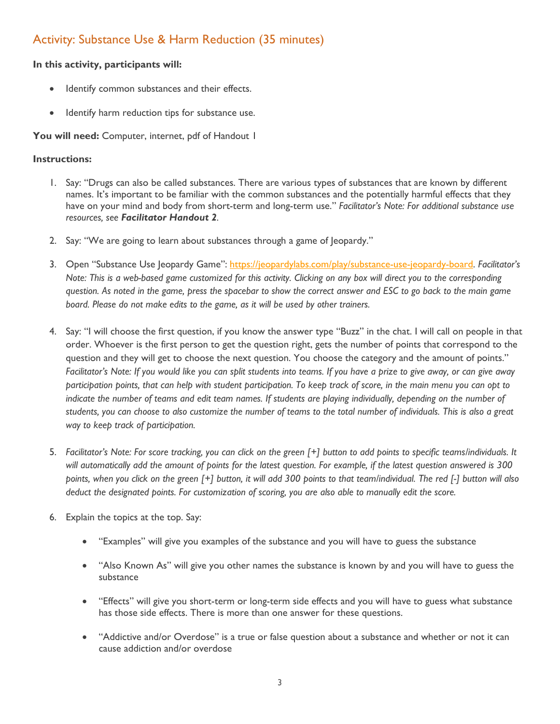# Activity: Substance Use & Harm Reduction (35 minutes)

#### **In this activity, participants will:**

- Identify common substances and their effects.
- Identify harm reduction tips for substance use.

You will need: Computer, internet, pdf of Handout 1

- 1. Say: "Drugs can also be called substances. There are various types of substances that are known by different names. It's important to be familiar with the common substances and the potentially harmful effects that they have on your mind and body from short-term and long-term use." *Facilitator's Note: For additional substance use resources, see Facilitator Handout 2.*
- 2. Say: "We are going to learn about substances through a game of Jeopardy."
- 3. Open "Substance Use Jeopardy Game": [https://jeopardylabs.com/play/substance-use-jeopardy-board.](https://jeopardylabs.com/play/substance-use-jeopardy-board) *Facilitator's Note: This is a web-based game customized for this activity. Clicking on any box will direct you to the corresponding question. As noted in the game, press the spacebar to show the correct answer and ESC to go back to the main game board. Please do not make edits to the game, as it will be used by other trainers.*
- 4. Say: "I will choose the first question, if you know the answer type "Buzz" in the chat. I will call on people in that order. Whoever is the first person to get the question right, gets the number of points that correspond to the question and they will get to choose the next question. You choose the category and the amount of points." *Facilitator's Note: If you would like you can split students into teams. If you have a prize to give away, or can give away participation points, that can help with student participation. To keep track of score, in the main menu you can opt to*  indicate the number of teams and edit team names. If students are playing individually, depending on the number of *students, you can choose to also customize the number of teams to the total number of individuals. This is also a great way to keep track of participation.*
- 5. *Facilitator's Note: For score tracking, you can click on the green [+] button to add points to specific teams/individuals. It will automatically add the amount of points for the latest question. For example, if the latest question answered is 300 points, when you click on the green [+] button, it will add 300 points to that team/individual. The red [-] button will also deduct the designated points. For customization of scoring, you are also able to manually edit the score.*
- 6. Explain the topics at the top. Say:
	- "Examples" will give you examples of the substance and you will have to guess the substance
	- "Also Known As" will give you other names the substance is known by and you will have to guess the substance
	- "Effects" will give you short-term or long-term side effects and you will have to guess what substance has those side effects. There is more than one answer for these questions.
	- "Addictive and/or Overdose" is a true or false question about a substance and whether or not it can cause addiction and/or overdose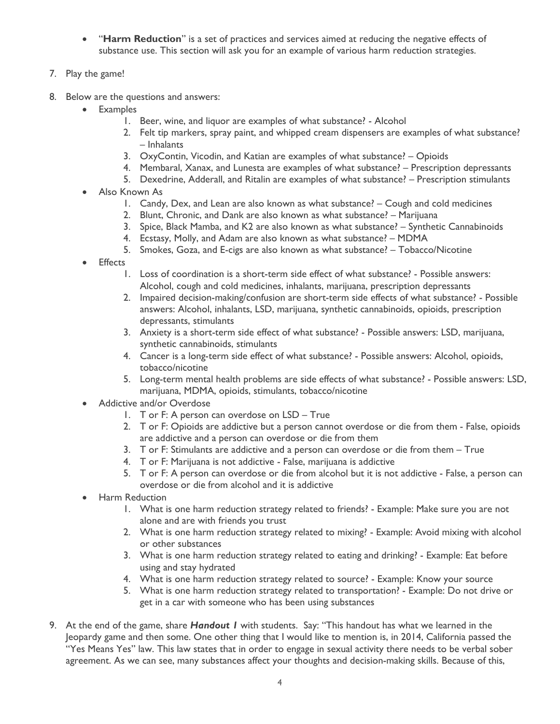- "**Harm Reduction**" is a set of practices and services aimed at reducing the negative effects of substance use. This section will ask you for an example of various harm reduction strategies.
- 7. Play the game!
- 8. Below are the questions and answers:
	- Examples
		- 1. Beer, wine, and liquor are examples of what substance? Alcohol
		- 2. Felt tip markers, spray paint, and whipped cream dispensers are examples of what substance? – Inhalants
		- 3. OxyContin, Vicodin, and Katian are examples of what substance? Opioids
		- 4. Membaral, Xanax, and Lunesta are examples of what substance? Prescription depressants
		- 5. Dexedrine, Adderall, and Ritalin are examples of what substance? Prescription stimulants
	- Also Known As
		- 1. Candy, Dex, and Lean are also known as what substance? Cough and cold medicines
		- 2. Blunt, Chronic, and Dank are also known as what substance? Marijuana
		- 3. Spice, Black Mamba, and K2 are also known as what substance? Synthetic Cannabinoids
		- 4. Ecstasy, Molly, and Adam are also known as what substance? MDMA
		- 5. Smokes, Goza, and E-cigs are also known as what substance? Tobacco/Nicotine
	- **Effects** 
		- 1. Loss of coordination is a short-term side effect of what substance? Possible answers: Alcohol, cough and cold medicines, inhalants, marijuana, prescription depressants
		- 2. Impaired decision-making/confusion are short-term side effects of what substance? Possible answers: Alcohol, inhalants, LSD, marijuana, synthetic cannabinoids, opioids, prescription depressants, stimulants
		- 3. Anxiety is a short-term side effect of what substance? Possible answers: LSD, marijuana, synthetic cannabinoids, stimulants
		- 4. Cancer is a long-term side effect of what substance? Possible answers: Alcohol, opioids, tobacco/nicotine
		- 5. Long-term mental health problems are side effects of what substance? Possible answers: LSD, marijuana, MDMA, opioids, stimulants, tobacco/nicotine
	- Addictive and/or Overdose
		- 1. T or F: A person can overdose on LSD True
		- 2. T or F: Opioids are addictive but a person cannot overdose or die from them False, opioids are addictive and a person can overdose or die from them
		- 3. T or F: Stimulants are addictive and a person can overdose or die from them True
		- 4. T or F: Marijuana is not addictive False, marijuana is addictive
		- 5. T or F: A person can overdose or die from alcohol but it is not addictive False, a person can overdose or die from alcohol and it is addictive
	- Harm Reduction
		- 1. What is one harm reduction strategy related to friends? Example: Make sure you are not alone and are with friends you trust
		- 2. What is one harm reduction strategy related to mixing? Example: Avoid mixing with alcohol or other substances
		- 3. What is one harm reduction strategy related to eating and drinking? Example: Eat before using and stay hydrated
		- 4. What is one harm reduction strategy related to source? Example: Know your source
		- 5. What is one harm reduction strategy related to transportation? Example: Do not drive or get in a car with someone who has been using substances
- 9. At the end of the game, share *Handout 1* with students. Say: "This handout has what we learned in the Jeopardy game and then some. One other thing that I would like to mention is, in 2014, California passed the "Yes Means Yes" law. This law states that in order to engage in sexual activity there needs to be verbal sober agreement. As we can see, many substances affect your thoughts and decision-making skills. Because of this,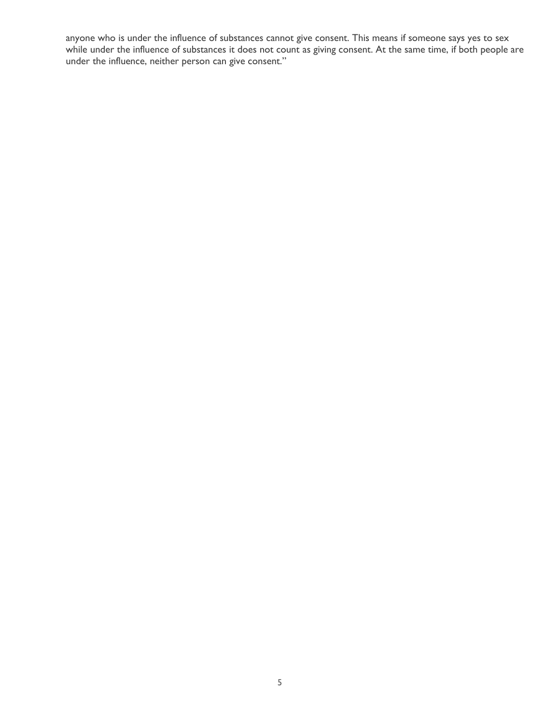anyone who is under the influence of substances cannot give consent. This means if someone says yes to sex while under the influence of substances it does not count as giving consent. At the same time, if both people are under the influence, neither person can give consent."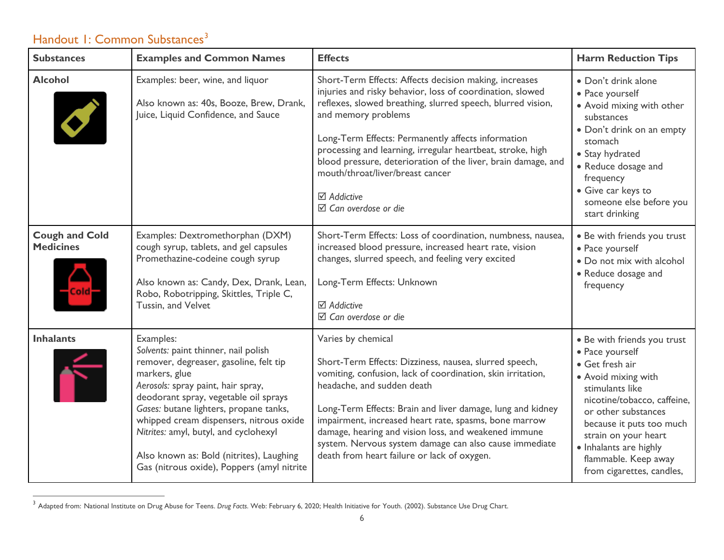# <span id="page-5-0"></span>Handout 1: Common Substances<sup>[3](#page-5-0)</sup>

| <b>Substances</b>                         | <b>Examples and Common Names</b>                                                                                                                                                                                                                                                                                                                                                                                    | <b>Effects</b>                                                                                                                                                                                                                                                                                                                                                                                                                                                                              | <b>Harm Reduction Tips</b>                                                                                                                                                                                                                                                                           |
|-------------------------------------------|---------------------------------------------------------------------------------------------------------------------------------------------------------------------------------------------------------------------------------------------------------------------------------------------------------------------------------------------------------------------------------------------------------------------|---------------------------------------------------------------------------------------------------------------------------------------------------------------------------------------------------------------------------------------------------------------------------------------------------------------------------------------------------------------------------------------------------------------------------------------------------------------------------------------------|------------------------------------------------------------------------------------------------------------------------------------------------------------------------------------------------------------------------------------------------------------------------------------------------------|
| <b>Alcohol</b>                            | Examples: beer, wine, and liquor<br>Also known as: 40s, Booze, Brew, Drank,<br>Juice, Liquid Confidence, and Sauce                                                                                                                                                                                                                                                                                                  | Short-Term Effects: Affects decision making, increases<br>injuries and risky behavior, loss of coordination, slowed<br>reflexes, slowed breathing, slurred speech, blurred vision,<br>and memory problems<br>Long-Term Effects: Permanently affects information<br>processing and learning, irregular heartbeat, stroke, high<br>blood pressure, deterioration of the liver, brain damage, and<br>mouth/throat/liver/breast cancer<br><b>⊠</b> Addictive<br>$\boxtimes$ Can overdose or die | • Don't drink alone<br>· Pace yourself<br>· Avoid mixing with other<br>substances<br>· Don't drink on an empty<br>stomach<br>• Stay hydrated<br>• Reduce dosage and<br>frequency<br>· Give car keys to<br>someone else before you<br>start drinking                                                  |
| <b>Cough and Cold</b><br><b>Medicines</b> | Examples: Dextromethorphan (DXM)<br>cough syrup, tablets, and gel capsules<br>Promethazine-codeine cough syrup<br>Also known as: Candy, Dex, Drank, Lean,<br>Robo, Robotripping, Skittles, Triple C,<br>Tussin, and Velvet                                                                                                                                                                                          | Short-Term Effects: Loss of coordination, numbness, nausea,<br>increased blood pressure, increased heart rate, vision<br>changes, slurred speech, and feeling very excited<br>Long-Term Effects: Unknown<br><b>⊠</b> Addictive<br>$\boxtimes$ Can overdose or die                                                                                                                                                                                                                           | • Be with friends you trust<br>· Pace yourself<br>. Do not mix with alcohol<br>• Reduce dosage and<br>frequency                                                                                                                                                                                      |
| <b>Inhalants</b>                          | Examples:<br>Solvents: paint thinner, nail polish<br>remover, degreaser, gasoline, felt tip<br>markers, glue<br>Aerosols: spray paint, hair spray,<br>deodorant spray, vegetable oil sprays<br>Gases: butane lighters, propane tanks,<br>whipped cream dispensers, nitrous oxide<br>Nitrites: amyl, butyl, and cyclohexyl<br>Also known as: Bold (nitrites), Laughing<br>Gas (nitrous oxide), Poppers (amyl nitrite | Varies by chemical<br>Short-Term Effects: Dizziness, nausea, slurred speech,<br>vomiting, confusion, lack of coordination, skin irritation,<br>headache, and sudden death<br>Long-Term Effects: Brain and liver damage, lung and kidney<br>impairment, increased heart rate, spasms, bone marrow<br>damage, hearing and vision loss, and weakened immune<br>system. Nervous system damage can also cause immediate<br>death from heart failure or lack of oxygen.                           | • Be with friends you trust<br>· Pace yourself<br>· Get fresh air<br>• Avoid mixing with<br>stimulants like<br>nicotine/tobacco, caffeine,<br>or other substances<br>because it puts too much<br>strain on your heart<br>· Inhalants are highly<br>flammable. Keep away<br>from cigarettes, candles, |

 <sup>3</sup> Adapted from: National Institute on Drug Abuse for Teens. *Drug Facts*. Web: February 6, 2020; Health Initiative for Youth. (2002). Substance Use Drug Chart.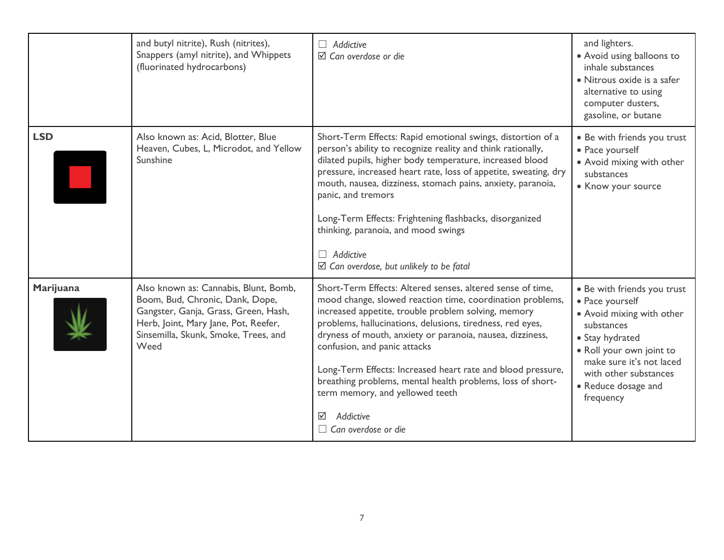|            | and butyl nitrite), Rush (nitrites),<br>Snappers (amyl nitrite), and Whippets<br>(fluorinated hydrocarbons)                                                                                              | $\Box$ Addictive<br>$\boxtimes$ Can overdose or die                                                                                                                                                                                                                                                                                                                                                                                                                                                                                                      | and lighters.<br>• Avoid using balloons to<br>inhale substances<br>• Nitrous oxide is a safer<br>alternative to using<br>computer dusters,<br>gasoline, or butane                                                                 |
|------------|----------------------------------------------------------------------------------------------------------------------------------------------------------------------------------------------------------|----------------------------------------------------------------------------------------------------------------------------------------------------------------------------------------------------------------------------------------------------------------------------------------------------------------------------------------------------------------------------------------------------------------------------------------------------------------------------------------------------------------------------------------------------------|-----------------------------------------------------------------------------------------------------------------------------------------------------------------------------------------------------------------------------------|
| <b>LSD</b> | Also known as: Acid, Blotter, Blue<br>Heaven, Cubes, L, Microdot, and Yellow<br>Sunshine                                                                                                                 | Short-Term Effects: Rapid emotional swings, distortion of a<br>person's ability to recognize reality and think rationally,<br>dilated pupils, higher body temperature, increased blood<br>pressure, increased heart rate, loss of appetite, sweating, dry<br>mouth, nausea, dizziness, stomach pains, anxiety, paranoia,<br>panic, and tremors<br>Long-Term Effects: Frightening flashbacks, disorganized<br>thinking, paranoia, and mood swings<br>$\Box$ Addictive<br>$\boxtimes$ Can overdose, but unlikely to be fatal                               | • Be with friends you trust<br>• Pace yourself<br>• Avoid mixing with other<br>substances<br>• Know your source                                                                                                                   |
| Marijuana  | Also known as: Cannabis, Blunt, Bomb,<br>Boom, Bud, Chronic, Dank, Dope,<br>Gangster, Ganja, Grass, Green, Hash,<br>Herb, Joint, Mary Jane, Pot, Reefer,<br>Sinsemilla, Skunk, Smoke, Trees, and<br>Weed | Short-Term Effects: Altered senses, altered sense of time,<br>mood change, slowed reaction time, coordination problems,<br>increased appetite, trouble problem solving, memory<br>problems, hallucinations, delusions, tiredness, red eyes,<br>dryness of mouth, anxiety or paranoia, nausea, dizziness,<br>confusion, and panic attacks<br>Long-Term Effects: Increased heart rate and blood pressure,<br>breathing problems, mental health problems, loss of short-<br>term memory, and yellowed teeth<br>Addictive<br>☑<br>$\Box$ Can overdose or die | • Be with friends you trust<br>• Pace yourself<br>• Avoid mixing with other<br>substances<br>• Stay hydrated<br>· Roll your own joint to<br>make sure it's not laced<br>with other substances<br>• Reduce dosage and<br>frequency |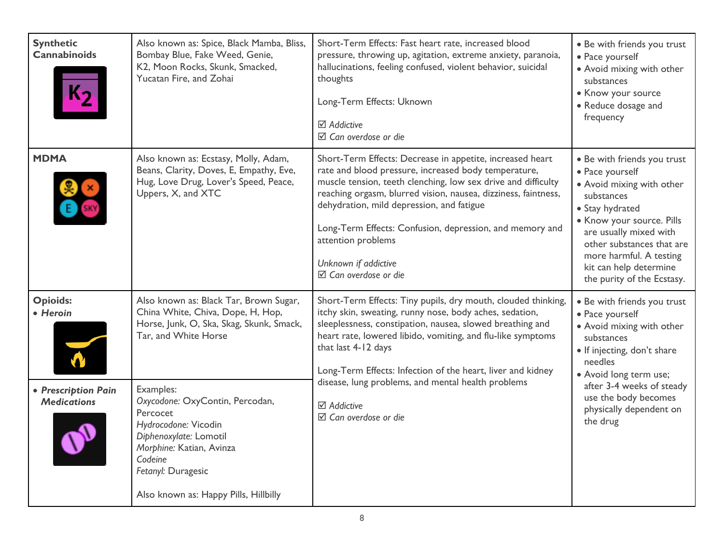| <b>Synthetic</b><br><b>Cannabinoids</b>                                  | Also known as: Spice, Black Mamba, Bliss,<br>Bombay Blue, Fake Weed, Genie,<br>K2, Moon Rocks, Skunk, Smacked,<br>Yucatan Fire, and Zohai                                                                                                                     | Short-Term Effects: Fast heart rate, increased blood<br>pressure, throwing up, agitation, extreme anxiety, paranoia,<br>hallucinations, feeling confused, violent behavior, suicidal<br>thoughts<br>Long-Term Effects: Uknown<br>$\boxtimes$ Addictive<br>$\boxtimes$ Can overdose or die                                                                                                                                                                 | • Be with friends you trust<br>· Pace yourself<br>• Avoid mixing with other<br>substances<br>• Know your source<br>• Reduce dosage and<br>frequency                                                                                                                                 |
|--------------------------------------------------------------------------|---------------------------------------------------------------------------------------------------------------------------------------------------------------------------------------------------------------------------------------------------------------|-----------------------------------------------------------------------------------------------------------------------------------------------------------------------------------------------------------------------------------------------------------------------------------------------------------------------------------------------------------------------------------------------------------------------------------------------------------|-------------------------------------------------------------------------------------------------------------------------------------------------------------------------------------------------------------------------------------------------------------------------------------|
| <b>MDMA</b>                                                              | Also known as: Ecstasy, Molly, Adam,<br>Beans, Clarity, Doves, E, Empathy, Eve,<br>Hug, Love Drug, Lover's Speed, Peace,<br>Uppers, X, and XTC                                                                                                                | Short-Term Effects: Decrease in appetite, increased heart<br>rate and blood pressure, increased body temperature,<br>muscle tension, teeth clenching, low sex drive and difficulty<br>reaching orgasm, blurred vision, nausea, dizziness, faintness,<br>dehydration, mild depression, and fatigue<br>Long-Term Effects: Confusion, depression, and memory and<br>attention problems<br>Unknown if addictive<br>$\boxtimes$ Can overdose or die            | • Be with friends you trust<br>· Pace yourself<br>· Avoid mixing with other<br>substances<br>• Stay hydrated<br>• Know your source. Pills<br>are usually mixed with<br>other substances that are<br>more harmful. A testing<br>kit can help determine<br>the purity of the Ecstasy. |
| <b>Opioids:</b><br>• Heroin<br>• Prescription Pain<br><b>Medications</b> | Also known as: Black Tar, Brown Sugar,<br>China White, Chiva, Dope, H, Hop,<br>Horse, Junk, O, Ska, Skag, Skunk, Smack,<br>Tar, and White Horse<br>Examples:<br>Oxycodone: OxyContin, Percodan,<br>Percocet<br>Hydrocodone: Vicodin<br>Diphenoxylate: Lomotil | Short-Term Effects: Tiny pupils, dry mouth, clouded thinking,<br>itchy skin, sweating, runny nose, body aches, sedation,<br>sleeplessness, constipation, nausea, slowed breathing and<br>heart rate, lowered libido, vomiting, and flu-like symptoms<br>that last 4-12 days<br>Long-Term Effects: Infection of the heart, liver and kidney<br>disease, lung problems, and mental health problems<br><b>⊠</b> Addictive<br>$\boxtimes$ Can overdose or die | • Be with friends you trust<br>· Pace yourself<br>· Avoid mixing with other<br>substances<br>• If injecting, don't share<br>needles<br>• Avoid long term use;<br>after 3-4 weeks of steady<br>use the body becomes<br>physically dependent on<br>the drug                           |
|                                                                          | Morphine: Katian, Avinza<br>Codeine<br>Fetanyl: Duragesic<br>Also known as: Happy Pills, Hillbilly                                                                                                                                                            |                                                                                                                                                                                                                                                                                                                                                                                                                                                           |                                                                                                                                                                                                                                                                                     |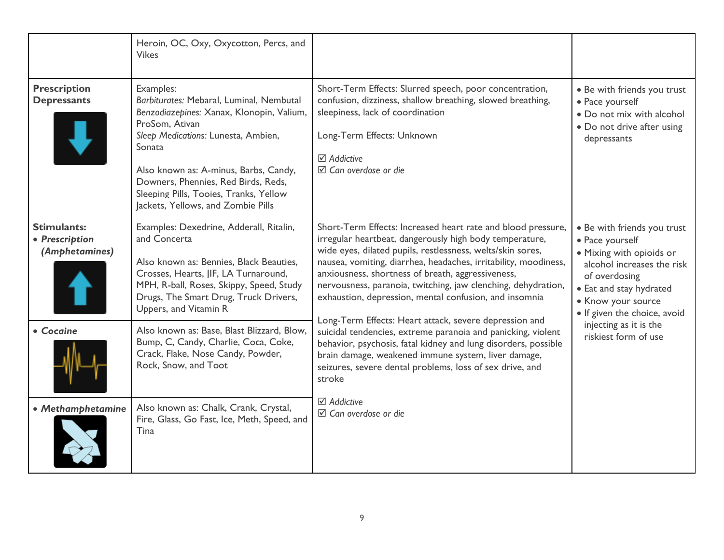|                                                 | Heroin, OC, Oxy, Oxycotton, Percs, and<br><b>Vikes</b>                                                                                                                                                                                                                                                                                |                                                                                                                                                                                                                                                                                                                                                                                                                                                                                                                                                                                                                                                                                                                                                                   |                                                                                                                                                                                                                                                              |
|-------------------------------------------------|---------------------------------------------------------------------------------------------------------------------------------------------------------------------------------------------------------------------------------------------------------------------------------------------------------------------------------------|-------------------------------------------------------------------------------------------------------------------------------------------------------------------------------------------------------------------------------------------------------------------------------------------------------------------------------------------------------------------------------------------------------------------------------------------------------------------------------------------------------------------------------------------------------------------------------------------------------------------------------------------------------------------------------------------------------------------------------------------------------------------|--------------------------------------------------------------------------------------------------------------------------------------------------------------------------------------------------------------------------------------------------------------|
| <b>Prescription</b><br><b>Depressants</b>       | Examples:<br>Barbiturates: Mebaral, Luminal, Nembutal<br>Benzodiazepines: Xanax, Klonopin, Valium,<br>ProSom, Ativan<br>Sleep Medications: Lunesta, Ambien,<br>Sonata<br>Also known as: A-minus, Barbs, Candy,<br>Downers, Phennies, Red Birds, Reds,<br>Sleeping Pills, Tooies, Tranks, Yellow<br>Jackets, Yellows, and Zombie Pills | Short-Term Effects: Slurred speech, poor concentration,<br>confusion, dizziness, shallow breathing, slowed breathing,<br>sleepiness, lack of coordination<br>Long-Term Effects: Unknown<br>$\boxtimes$ Addictive<br>$\boxtimes$ Can overdose or die                                                                                                                                                                                                                                                                                                                                                                                                                                                                                                               | • Be with friends you trust<br>• Pace yourself<br>• Do not mix with alcohol<br>• Do not drive after using<br>depressants                                                                                                                                     |
| Stimulants:<br>• Prescription<br>(Amphetamines) | Examples: Dexedrine, Adderall, Ritalin,<br>and Concerta<br>Also known as: Bennies, Black Beauties,<br>Crosses, Hearts, JIF, LA Turnaround,<br>MPH, R-ball, Roses, Skippy, Speed, Study<br>Drugs, The Smart Drug, Truck Drivers,<br>Uppers, and Vitamin R                                                                              | Short-Term Effects: Increased heart rate and blood pressure,<br>irregular heartbeat, dangerously high body temperature,<br>wide eyes, dilated pupils, restlessness, welts/skin sores,<br>nausea, vomiting, diarrhea, headaches, irritability, moodiness,<br>anxiousness, shortness of breath, aggressiveness,<br>nervousness, paranoia, twitching, jaw clenching, dehydration,<br>exhaustion, depression, mental confusion, and insomnia<br>Long-Term Effects: Heart attack, severe depression and<br>suicidal tendencies, extreme paranoia and panicking, violent<br>behavior, psychosis, fatal kidney and lung disorders, possible<br>brain damage, weakened immune system, liver damage,<br>seizures, severe dental problems, loss of sex drive, and<br>stroke | • Be with friends you trust<br>• Pace yourself<br>• Mixing with opioids or<br>alcohol increases the risk<br>of overdosing<br>• Eat and stay hydrated<br>• Know your source<br>• If given the choice, avoid<br>injecting as it is the<br>riskiest form of use |
| • Cocaine                                       | Also known as: Base, Blast Blizzard, Blow,<br>Bump, C, Candy, Charlie, Coca, Coke,<br>Crack, Flake, Nose Candy, Powder,<br>Rock, Snow, and Toot                                                                                                                                                                                       |                                                                                                                                                                                                                                                                                                                                                                                                                                                                                                                                                                                                                                                                                                                                                                   |                                                                                                                                                                                                                                                              |
| • Methamphetamine                               | Also known as: Chalk, Crank, Crystal,<br>Fire, Glass, Go Fast, Ice, Meth, Speed, and<br>Tina                                                                                                                                                                                                                                          | $\boxtimes$ Addictive<br>$\boxtimes$ Can overdose or die                                                                                                                                                                                                                                                                                                                                                                                                                                                                                                                                                                                                                                                                                                          |                                                                                                                                                                                                                                                              |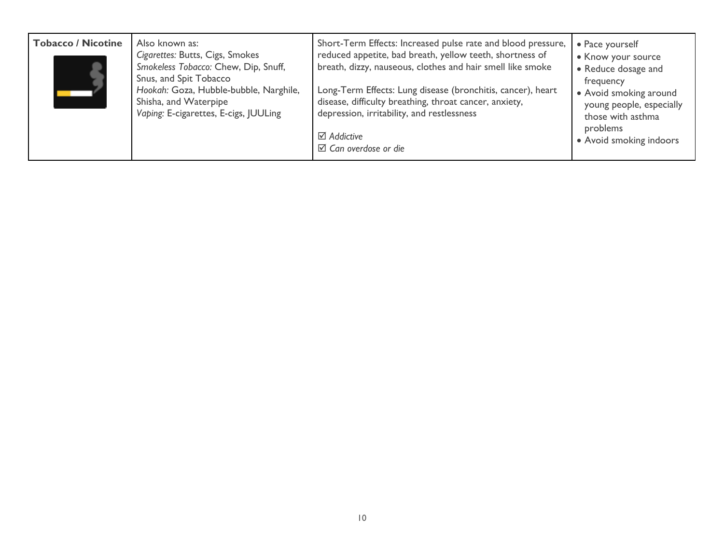| <b>Tobacco / Nicotine</b> | Also known as:<br>Cigarettes: Butts, Cigs, Smokes<br>Smokeless Tobacco: Chew, Dip, Snuff,<br>Snus, and Spit Tobacco<br>Hookah: Goza, Hubble-bubble, Narghile,<br>Shisha, and Waterpipe<br>Vaping: E-cigarettes, E-cigs, JUULing | Short-Term Effects: Increased pulse rate and blood pressure,<br>reduced appetite, bad breath, yellow teeth, shortness of<br>breath, dizzy, nauseous, clothes and hair smell like smoke<br>Long-Term Effects: Lung disease (bronchitis, cancer), heart<br>disease, difficulty breathing, throat cancer, anxiety,<br>depression, irritability, and restlessness<br>$\boxtimes$ Addictive<br>$\boxtimes$ Can overdose or die | • Pace yourself<br>• Know your source<br>• Reduce dosage and<br>frequency<br>• Avoid smoking around<br>young people, especially<br>those with asthma<br>problems<br>• Avoid smoking indoors |
|---------------------------|---------------------------------------------------------------------------------------------------------------------------------------------------------------------------------------------------------------------------------|---------------------------------------------------------------------------------------------------------------------------------------------------------------------------------------------------------------------------------------------------------------------------------------------------------------------------------------------------------------------------------------------------------------------------|---------------------------------------------------------------------------------------------------------------------------------------------------------------------------------------------|
|---------------------------|---------------------------------------------------------------------------------------------------------------------------------------------------------------------------------------------------------------------------------|---------------------------------------------------------------------------------------------------------------------------------------------------------------------------------------------------------------------------------------------------------------------------------------------------------------------------------------------------------------------------------------------------------------------------|---------------------------------------------------------------------------------------------------------------------------------------------------------------------------------------------|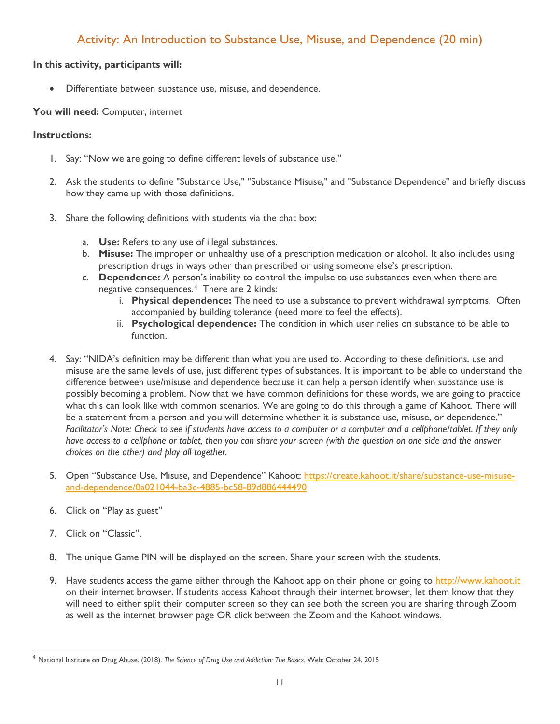### Activity: An Introduction to Substance Use, Misuse, and Dependence (20 min)

#### **In this activity, participants will:**

• Differentiate between substance use, misuse, and dependence.

#### **You will need:** Computer, internet

- 1. Say: "Now we are going to define different levels of substance use."
- 2. Ask the students to define "Substance Use," "Substance Misuse," and "Substance Dependence" and briefly discuss how they came up with those definitions.
- 3. Share the following definitions with students via the chat box:
	- a. **Use:** Refers to any use of illegal substances.
	- b. **Misuse:** The improper or unhealthy use of a prescription medication or alcohol. It also includes using prescription drugs in ways other than prescribed or using someone else's prescription.
	- c. **Dependence:** A person's inability to control the impulse to use substances even when there are negative consequences.[4](#page-10-0) There are 2 kinds:
		- i. **Physical dependence:** The need to use a substance to prevent withdrawal symptoms. Often accompanied by building tolerance (need more to feel the effects).
		- ii. **Psychological dependence:** The condition in which user relies on substance to be able to function.
- 4. Say: "NIDA's definition may be different than what you are used to. According to these definitions, use and misuse are the same levels of use, just different types of substances. It is important to be able to understand the difference between use/misuse and dependence because it can help a person identify when substance use is possibly becoming a problem. Now that we have common definitions for these words, we are going to practice what this can look like with common scenarios. We are going to do this through a game of Kahoot. There will be a statement from a person and you will determine whether it is substance use, misuse, or dependence." *Facilitator's Note: Check to see if students have access to a computer or a computer and a cellphone/tablet. If they only have access to a cellphone or tablet, then you can share your screen (with the question on one side and the answer choices on the other) and play all together.*
- 5. Open "Substance Use, Misuse, and Dependence" Kahoot: [https://create.kahoot.it/share/substance-use-misuse](https://create.kahoot.it/share/substance-use-misuse-and-dependence/0a021044-ba3c-4885-bc58-89d886444490)[and-dependence/0a021044-ba3c-4885-bc58-89d886444490](https://create.kahoot.it/share/substance-use-misuse-and-dependence/0a021044-ba3c-4885-bc58-89d886444490)
- 6. Click on "Play as guest"
- 7. Click on "Classic".
- 8. The unique Game PIN will be displayed on the screen. Share your screen with the students.
- 9. Have students access the game either through the Kahoot app on their phone or going to [http://www.kahoot.it](http://www.kahoot.it/) on their internet browser. If students access Kahoot through their internet browser, let them know that they will need to either split their computer screen so they can see both the screen you are sharing through Zoom as well as the internet browser page OR click between the Zoom and the Kahoot windows.

<span id="page-10-0"></span> <sup>4</sup> National Institute on Drug Abuse. (2018). *The Science of Drug Use and Addiction: The Basics.* Web: October 24, 2015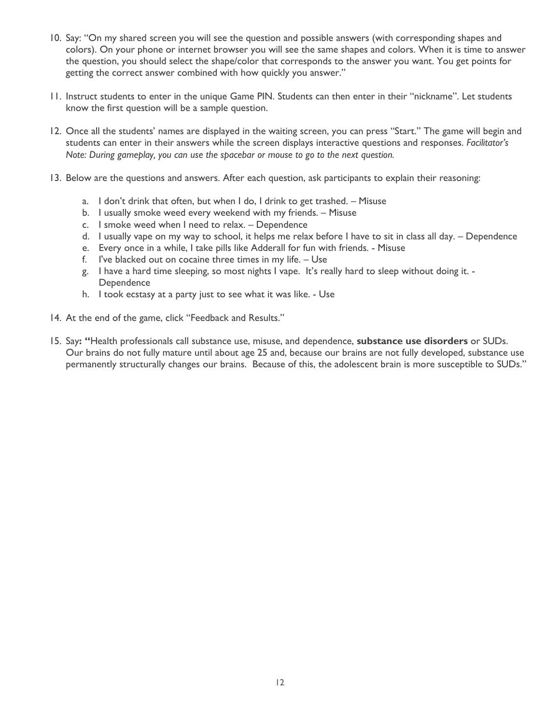- 10. Say: "On my shared screen you will see the question and possible answers (with corresponding shapes and colors). On your phone or internet browser you will see the same shapes and colors. When it is time to answer the question, you should select the shape/color that corresponds to the answer you want. You get points for getting the correct answer combined with how quickly you answer."
- 11. Instruct students to enter in the unique Game PIN. Students can then enter in their "nickname". Let students know the first question will be a sample question.
- 12. Once all the students' names are displayed in the waiting screen, you can press "Start." The game will begin and students can enter in their answers while the screen displays interactive questions and responses. *Facilitator's Note: During gameplay, you can use the spacebar or mouse to go to the next question.*
- 13. Below are the questions and answers. After each question, ask participants to explain their reasoning:
	- a. I don't drink that often, but when I do, I drink to get trashed. Misuse
	- b. I usually smoke weed every weekend with my friends. Misuse
	- c. I smoke weed when I need to relax. Dependence
	- d. I usually vape on my way to school, it helps me relax before I have to sit in class all day. Dependence
	- e. Every once in a while, I take pills like Adderall for fun with friends. Misuse
	- f. I've blacked out on cocaine three times in my life. Use
	- g. I have a hard time sleeping, so most nights I vape. It's really hard to sleep without doing it. **Dependence**
	- h. I took ecstasy at a party just to see what it was like. Use
- 14. At the end of the game, click "Feedback and Results."
- 15. Say**: "**Health professionals call substance use, misuse, and dependence, **substance use disorders** or SUDs. Our brains do not fully mature until about age 25 and, because our brains are not fully developed, substance use permanently structurally changes our brains. Because of this, the adolescent brain is more susceptible to SUDs."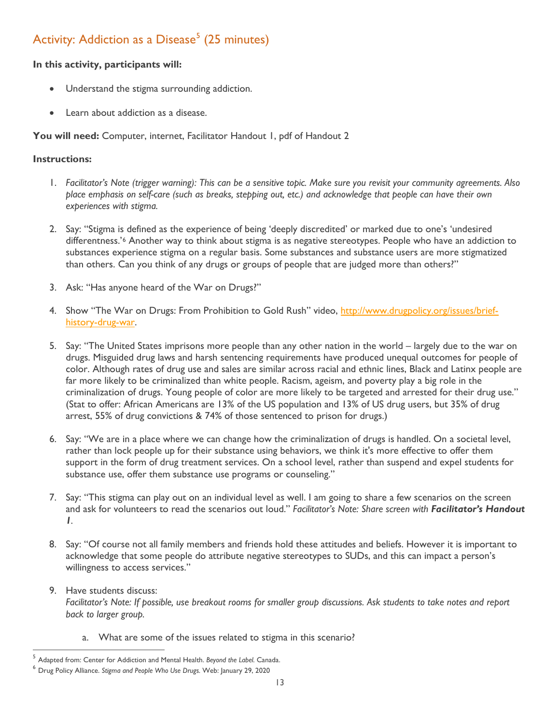# Activity: Addiction as a Disease<sup>[5](#page-12-0)</sup> (25 minutes)

#### **In this activity, participants will:**

- Understand the stigma surrounding addiction.
- Learn about addiction as a disease.

You will need: Computer, internet, Facilitator Handout 1, pdf of Handout 2

- 1. *Facilitator's Note (trigger warning): This can be a sensitive topic. Make sure you revisit your community agreements. Also place emphasis on self-care (such as breaks, stepping out, etc.) and acknowledge that people can have their own experiences with stigma.*
- 2. Say: "Stigma is defined as the experience of being 'deeply discredited' or marked due to one's 'undesired differentness.'[6](#page-12-1) Another way to think about stigma is as negative stereotypes. People who have an addiction to substances experience stigma on a regular basis. Some substances and substance users are more stigmatized than others. Can you think of any drugs or groups of people that are judged more than others?"
- 3. Ask: "Has anyone heard of the War on Drugs?"
- 4. Show "The War on Drugs: From Prohibition to Gold Rush" video, [http://www.drugpolicy.org/issues/brief](http://www.drugpolicy.org/issues/brief-history-drug-war)[history-drug-war.](http://www.drugpolicy.org/issues/brief-history-drug-war)
- 5. Say: "The United States imprisons more people than any other nation in the world largely due to the war on drugs. Misguided drug laws and harsh sentencing requirements have produced unequal outcomes for people of color. Although rates of drug use and sales are similar across racial and ethnic lines, Black and Latinx people are far more likely to be criminalized than white people. Racism, ageism, and poverty play a big role in the criminalization of drugs. Young people of color are more likely to be targeted and arrested for their drug use." (Stat to offer: African Americans are 13% of the US population and 13% of US drug users, but 35% of drug arrest, 55% of drug convictions & 74% of those sentenced to prison for drugs.)
- 6. Say: "We are in a place where we can change how the criminalization of drugs is handled. On a societal level, rather than lock people up for their substance using behaviors, we think it's more effective to offer them support in the form of drug treatment services. On a school level, rather than suspend and expel students for substance use, offer them substance use programs or counseling."
- 7. Say: "This stigma can play out on an individual level as well. I am going to share a few scenarios on the screen and ask for volunteers to read the scenarios out loud." *Facilitator's Note: Share screen with Facilitator's Handout 1.*
- 8. Say: "Of course not all family members and friends hold these attitudes and beliefs. However it is important to acknowledge that some people do attribute negative stereotypes to SUDs, and this can impact a person's willingness to access services."
- 9. Have students discuss: *Facilitator's Note: If possible, use breakout rooms for smaller group discussions. Ask students to take notes and report back to larger group.*
	- a. What are some of the issues related to stigma in this scenario?

<span id="page-12-0"></span> <sup>5</sup> Adapted from: Center for Addiction and Mental Health. *Beyond the Label.* Canada.

<span id="page-12-1"></span><sup>6</sup> Drug Policy Alliance. *Stigma and People Who Use Drugs.* Web: January 29, 2020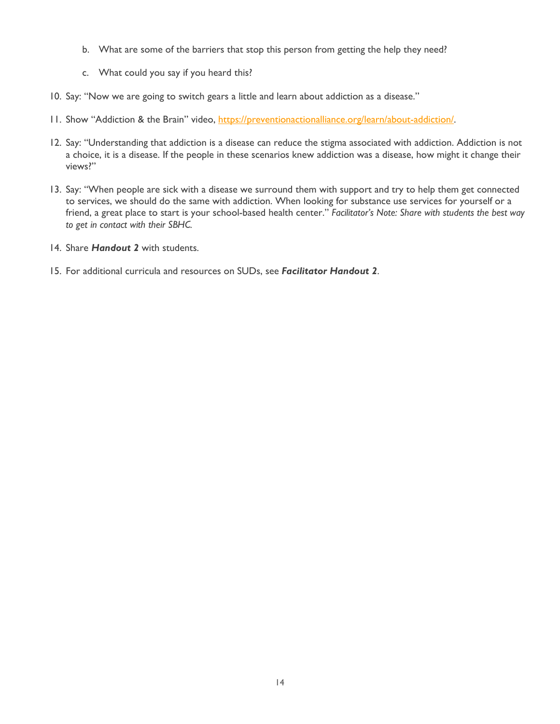- b. What are some of the barriers that stop this person from getting the help they need?
- c. What could you say if you heard this?
- 10. Say: "Now we are going to switch gears a little and learn about addiction as a disease."
- 11. Show "Addiction & the Brain" video, [https://preventionactionalliance.org/learn/about-addiction/.](https://preventionactionalliance.org/learn/about-addiction/)
- 12. Say: "Understanding that addiction is a disease can reduce the stigma associated with addiction. Addiction is not a choice, it is a disease. If the people in these scenarios knew addiction was a disease, how might it change their views?"
- 13. Say: "When people are sick with a disease we surround them with support and try to help them get connected to services, we should do the same with addiction. When looking for substance use services for yourself or a friend, a great place to start is your school-based health center." *Facilitator's Note: Share with students the best way to get in contact with their SBHC.*
- 14. Share *Handout 2* with students.
- 15. For additional curricula and resources on SUDs, see *Facilitator Handout 2*.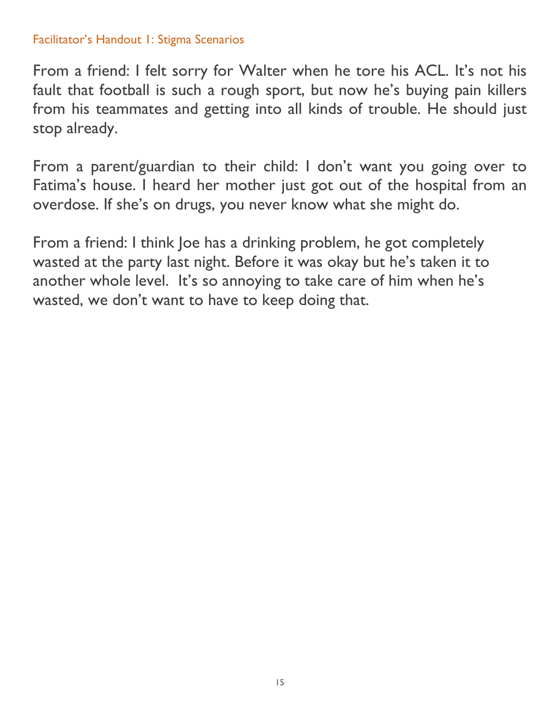### Facilitator's Handout 1: Stigma Scenarios

From a friend: I felt sorry for Walter when he tore his ACL. It's not his fault that football is such a rough sport, but now he's buying pain killers from his teammates and getting into all kinds of trouble. He should just stop already.

From a parent/guardian to their child: I don't want you going over to Fatima's house. I heard her mother just got out of the hospital from an overdose. If she's on drugs, you never know what she might do.

From a friend: I think Joe has a drinking problem, he got completely wasted at the party last night. Before it was okay but he's taken it to another whole level. It's so annoying to take care of him when he's wasted, we don't want to have to keep doing that.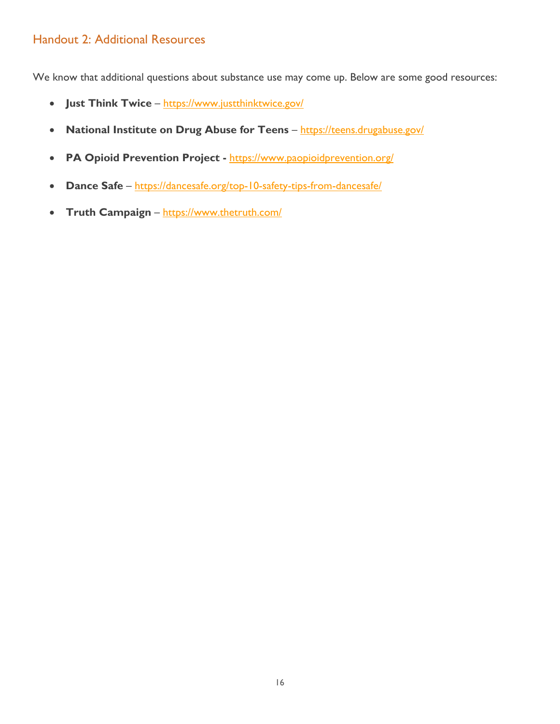### Handout 2: Additional Resources

We know that additional questions about substance use may come up. Below are some good resources:

- **Just Think Twice** <https://www.justthinktwice.gov/>
- **National Institute on Drug Abuse for Teens** <https://teens.drugabuse.gov/>
- **PA Opioid Prevention Project -** <https://www.paopioidprevention.org/>
- **Dance Safe** <https://dancesafe.org/top-10-safety-tips-from-dancesafe/>
- **Truth Campaign** <https://www.thetruth.com/>